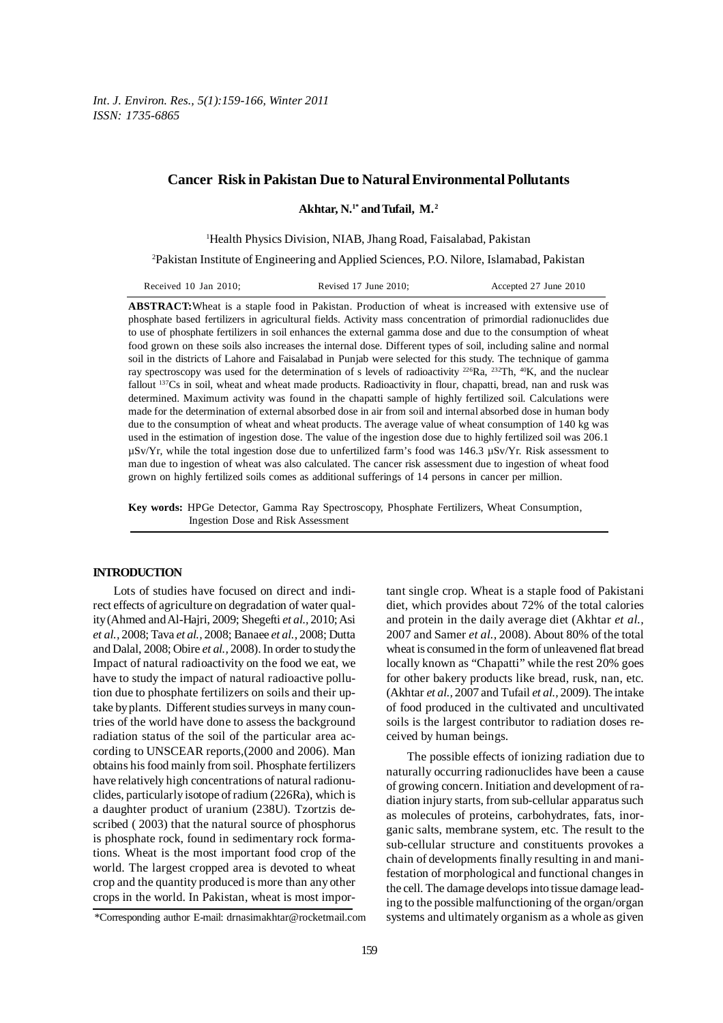*Int. J. Environ. Res., 5(1):159-166, Winter 2011 ISSN: 1735-6865*

# **Cancer Risk in Pakistan Due to Natural Environmental Pollutants**

**Akhtar, N.1\* and Tufail, M. 2**

1 Health Physics Division, NIAB, Jhang Road, Faisalabad, Pakistan

2 Pakistan Institute of Engineering and Applied Sciences, P.O. Nilore, Islamabad, Pakistan

| Received 10 Jan 2010: | Revised $17$ June $2010$ : | Accepted 27 June 2010 |
|-----------------------|----------------------------|-----------------------|
|-----------------------|----------------------------|-----------------------|

**ABSTRACT:**Wheat is a staple food in Pakistan. Production of wheat is increased with extensive use of phosphate based fertilizers in agricultural fields. Activity mass concentration of primordial radionuclides due to use of phosphate fertilizers in soil enhances the external gamma dose and due to the consumption of wheat food grown on these soils also increases the internal dose. Different types of soil, including saline and normal soil in the districts of Lahore and Faisalabad in Punjab were selected for this study. The technique of gamma ray spectroscopy was used for the determination of s levels of radioactivity  $^{226}Ra$ ,  $^{232}Th$ ,  $^{40}K$ , and the nuclear fallout <sup>137</sup>Cs in soil, wheat and wheat made products. Radioactivity in flour, chapatti, bread, nan and rusk was determined. Maximum activity was found in the chapatti sample of highly fertilized soil. Calculations were made for the determination of external absorbed dose in air from soil and internal absorbed dose in human body due to the consumption of wheat and wheat products. The average value of wheat consumption of 140 kg was used in the estimation of ingestion dose. The value of the ingestion dose due to highly fertilized soil was 206.1  $\mu$ Sv/Yr, while the total ingestion dose due to unfertilized farm's food was 146.3  $\mu$ Sv/Yr. Risk assessment to man due to ingestion of wheat was also calculated. The cancer risk assessment due to ingestion of wheat food grown on highly fertilized soils comes as additional sufferings of 14 persons in cancer per million.

**Key words:** HPGe Detector, Gamma Ray Spectroscopy, Phosphate Fertilizers, Wheat Consumption, Ingestion Dose and Risk Assessment

## **INTRODUCTION**

Lots of studies have focused on direct and indirect effects of agriculture on degradation of water quality (Ahmed and Al-Hajri, 2009; Shegefti *et al.,* 2010; Asi *et al.,* 2008; Tava *et al.,* 2008; Banaee *et al.,* 2008; Dutta and Dalal, 2008; Obire *et al.,* 2008). In order to study the Impact of natural radioactivity on the food we eat, we have to study the impact of natural radioactive pollution due to phosphate fertilizers on soils and their uptake by plants. Different studies surveys in many countries of the world have done to assess the background radiation status of the soil of the particular area according to UNSCEAR reports,(2000 and 2006). Man obtains his food mainly from soil. Phosphate fertilizers have relatively high concentrations of natural radionuclides, particularly isotope of radium (226Ra), which is a daughter product of uranium (238U). Tzortzis described ( 2003) that the natural source of phosphorus is phosphate rock, found in sedimentary rock formations. Wheat is the most important food crop of the world. The largest cropped area is devoted to wheat crop and the quantity produced is more than any other crops in the world. In Pakistan, wheat is most important single crop. Wheat is a staple food of Pakistani diet, which provides about 72% of the total calories and protein in the daily average diet (Akhtar *et al.,* 2007 and Samer *et al.,* 2008). About 80% of the total wheat is consumed in the form of unleavened flat bread locally known as "Chapatti" while the rest 20% goes for other bakery products like bread, rusk, nan, etc. (Akhtar *et al.,* 2007 and Tufail *et al.,* 2009). The intake of food produced in the cultivated and uncultivated soils is the largest contributor to radiation doses received by human beings.

The possible effects of ionizing radiation due to naturally occurring radionuclides have been a cause of growing concern. Initiation and development of radiation injury starts, from sub-cellular apparatus such as molecules of proteins, carbohydrates, fats, inorganic salts, membrane system, etc. The result to the sub-cellular structure and constituents provokes a chain of developments finally resulting in and manifestation of morphological and functional changes in the cell. The damage develops into tissue damage leading to the possible malfunctioning of the organ/organ systems and ultimately organism as a whole as given

<sup>\*</sup>Corresponding author E-mail: drnasimakhtar@rocketmail.com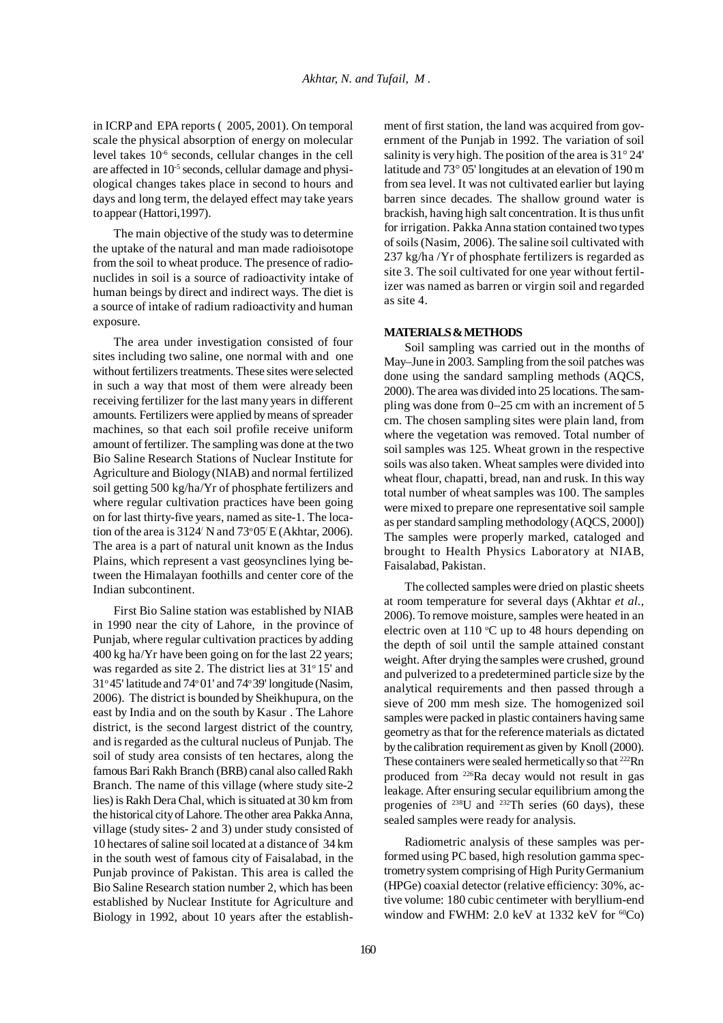in ICRP and EPA reports ( 2005, 2001). On temporal scale the physical absorption of energy on molecular level takes 10-6 seconds, cellular changes in the cell are affected in 10-5 seconds, cellular damage and physiological changes takes place in second to hours and days and long term, the delayed effect may take years to appear (Hattori,1997).

The main objective of the study was to determine the uptake of the natural and man made radioisotope from the soil to wheat produce. The presence of radionuclides in soil is a source of radioactivity intake of human beings by direct and indirect ways. The diet is a source of intake of radium radioactivity and human exposure.

The area under investigation consisted of four sites including two saline, one normal with and one without fertilizers treatments. These sites were selected in such a way that most of them were already been receiving fertilizer for the last many years in different amounts. Fertilizers were applied by means of spreader machines, so that each soil profile receive uniform amount of fertilizer. The sampling was done at the two Bio Saline Research Stations of Nuclear Institute for Agriculture and Biology (NIAB) and normal fertilized soil getting 500 kg/ha/Yr of phosphate fertilizers and where regular cultivation practices have been going on for last thirty-five years, named as site-1. The location of the area is  $3124'$  N and  $73^{\circ}05'E$  (Akhtar, 2006). The area is a part of natural unit known as the Indus Plains, which represent a vast geosynclines lying between the Himalayan foothills and center core of the Indian subcontinent.

First Bio Saline station was established by NIAB in 1990 near the city of Lahore, in the province of Punjab, where regular cultivation practices by adding 400 kg ha/Yr have been going on for the last 22 years; was regarded as site 2. The district lies at 31°15' and  $31°45'$  latitude and  $74°01'$  and  $74°39'$  longitude (Nasim, 2006). The district is bounded by Sheikhupura, on the east by India and on the south by Kasur . The Lahore district, is the second largest district of the country, and is regarded as the cultural nucleus of Punjab. The soil of study area consists of ten hectares, along the famous Bari Rakh Branch (BRB) canal also called Rakh Branch. The name of this village (where study site-2 lies) is Rakh Dera Chal, which is situated at 30 km from the historical city of Lahore. The other area Pakka Anna, village (study sites- 2 and 3) under study consisted of 10 hectares of saline soil located at a distance of 34 km in the south west of famous city of Faisalabad, in the Punjab province of Pakistan. This area is called the Bio Saline Research station number 2, which has been established by Nuclear Institute for Agriculture and Biology in 1992, about 10 years after the establishment of first station, the land was acquired from government of the Punjab in 1992. The variation of soil salinity is very high. The position of the area is 31° 24' latitude and 73° 05' longitudes at an elevation of 190 m from sea level. It was not cultivated earlier but laying barren since decades. The shallow ground water is brackish, having high salt concentration. It is thus unfit for irrigation. Pakka Anna station contained two types of soils (Nasim, 2006). The saline soil cultivated with 237 kg/ha /Yr of phosphate fertilizers is regarded as site 3. The soil cultivated for one year without fertilizer was named as barren or virgin soil and regarded as site 4.

### **MATERIALS & METHODS**

Soil sampling was carried out in the months of May–June in 2003. Sampling from the soil patches was done using the sandard sampling methods (AQCS, 2000). The area was divided into 25 locations. The sampling was done from 0−25 cm with an increment of 5 cm. The chosen sampling sites were plain land, from where the vegetation was removed. Total number of soil samples was 125. Wheat grown in the respective soils was also taken. Wheat samples were divided into wheat flour, chapatti, bread, nan and rusk. In this way total number of wheat samples was 100. The samples were mixed to prepare one representative soil sample as per standard sampling methodology (AQCS, 2000]) The samples were properly marked, cataloged and brought to Health Physics Laboratory at NIAB, Faisalabad, Pakistan.

The collected samples were dried on plastic sheets at room temperature for several days (Akhtar *et al.*, 2006). To remove moisture, samples were heated in an electric oven at 110  $\mathrm{C}$  up to 48 hours depending on the depth of soil until the sample attained constant weight. After drying the samples were crushed, ground and pulverized to a predetermined particle size by the analytical requirements and then passed through a sieve of 200 mm mesh size. The homogenized soil samples were packed in plastic containers having same geometry as that for the reference materials as dictated by the calibration requirement as given by Knoll (2000). These containers were sealed hermetically so that <sup>222</sup>Rn produced from 226Ra decay would not result in gas leakage. After ensuring secular equilibrium among the progenies of  $238$ U and  $232$ Th series (60 days), these sealed samples were ready for analysis.

Radiometric analysis of these samples was performed using PC based, high resolution gamma spectrometry system comprising of High Purity Germanium (HPGe) coaxial detector (relative efficiency: 30%, active volume: 180 cubic centimeter with beryllium-end window and FWHM: 2.0 keV at 1332 keV for  ${}^{60}Co$ )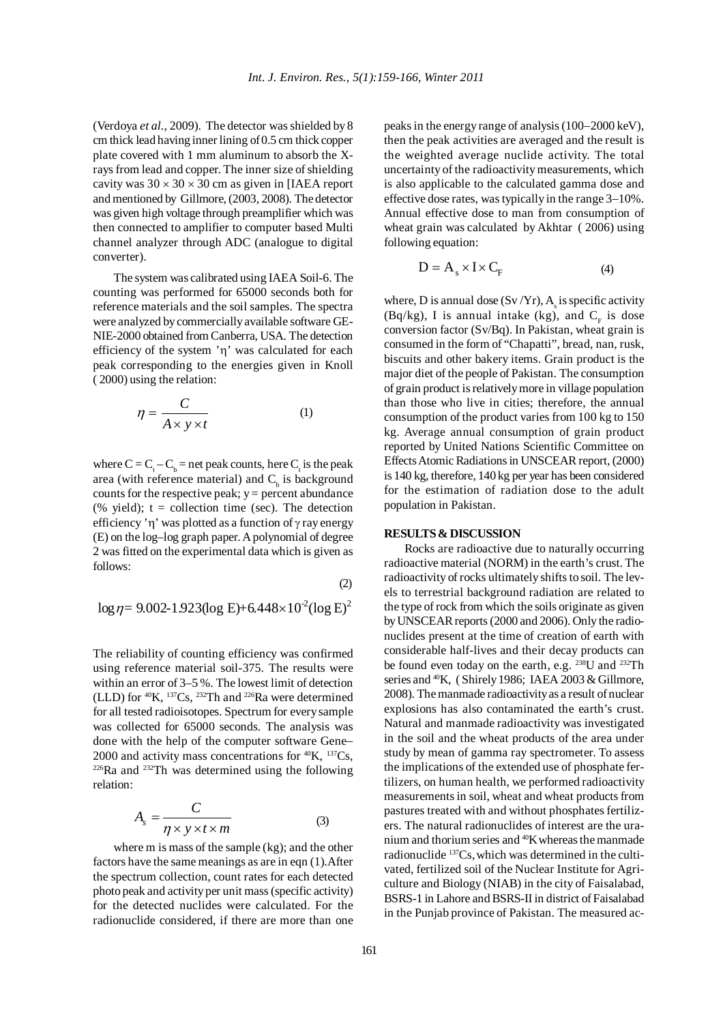(Verdoya *et al.*, 2009). The detector was shielded by 8 cm thick lead having inner lining of 0.5 cm thick copper plate covered with 1 mm aluminum to absorb the Xrays from lead and copper. The inner size of shielding cavity was  $30 \times 30 \times 30$  cm as given in [IAEA report] and mentioned by Gillmore, (2003, 2008). The detector was given high voltage through preamplifier which was then connected to amplifier to computer based Multi channel analyzer through ADC (analogue to digital converter).

The system was calibrated using IAEA Soil-6. The counting was performed for 65000 seconds both for reference materials and the soil samples. The spectra were analyzed by commercially available software GE-NIE-2000 obtained from Canberra, USA. The detection efficiency of the system 'η' was calculated for each peak corresponding to the energies given in Knoll ( 2000) using the relation:

$$
\eta = \frac{C}{A \times y \times t} \tag{1}
$$

where  $C = C_t - C_b$  = net peak counts, here  $C_t$  is the peak area (with reference material) and  $C<sub>b</sub>$  is background counts for the respective peak;  $y =$  percent abundance (% yield);  $t =$  collection time (sec). The detection efficiency 'η' was plotted as a function of  $\gamma$  ray energy (E) on the log–log graph paper. A polynomial of degree 2 was fitted on the experimental data which is given as follows:

$$
\log \eta = 9.002 - 1.923 (\log E) + 6.448 \times 10^{-2} (\log E)^2
$$

The reliability of counting efficiency was confirmed using reference material soil-375. The results were within an error of 3–5 %. The lowest limit of detection (LLD) for 40K, 137Cs, 232Th and 226Ra were determined for all tested radioisotopes. Spectrum for every sample was collected for 65000 seconds. The analysis was done with the help of the computer software Gene− 2000 and activity mass concentrations for  ${}^{40}$ K,  ${}^{137}Cs$ ,  $226$ Ra and  $232$ Th was determined using the following relation:

$$
A_s = \frac{C}{\eta \times y \times t \times m}
$$
 (3)

where m is mass of the sample (kg); and the other factors have the same meanings as are in eqn (1).After the spectrum collection, count rates for each detected photo peak and activity per unit mass (specific activity) for the detected nuclides were calculated. For the radionuclide considered, if there are more than one peaks in the energy range of analysis (100−2000 keV), then the peak activities are averaged and the result is the weighted average nuclide activity. The total uncertainty of the radioactivity measurements, which is also applicable to the calculated gamma dose and effective dose rates, was typically in the range 3−10%. Annual effective dose to man from consumption of wheat grain was calculated by Akhtar ( 2006) using following equation:

$$
D = A_s \times I \times C_F \tag{4}
$$

where, D is annual dose  $(Sv/Yr)$ ,  $A_s$  is specific activity (Bq/kg), I is annual intake (kg), and  $C<sub>r</sub>$  is dose conversion factor (Sv/Bq). In Pakistan, wheat grain is consumed in the form of "Chapatti", bread, nan, rusk, biscuits and other bakery items. Grain product is the major diet of the people of Pakistan. The consumption of grain product is relatively more in village population than those who live in cities; therefore, the annual consumption of the product varies from 100 kg to 150 kg. Average annual consumption of grain product reported by United Nations Scientific Committee on Effects Atomic Radiations in UNSCEAR report, (2000) is 140 kg, therefore, 140 kg per year has been considered for the estimation of radiation dose to the adult population in Pakistan.

### **RESULTS & DISCUSSION**

Rocks are radioactive due to naturally occurring radioactive material (NORM) in the earth's crust. The radioactivity of rocks ultimately shifts to soil. The levels to terrestrial background radiation are related to the type of rock from which the soils originate as given by UNSCEAR reports (2000 and 2006). Only the radionuclides present at the time of creation of earth with considerable half-lives and their decay products can be found even today on the earth, e.g. 238U and 232Th series and <sup>40</sup>K, (Shirely 1986; IAEA 2003 & Gillmore, 2008). The manmade radioactivity as a result of nuclear explosions has also contaminated the earth's crust. Natural and manmade radioactivity was investigated in the soil and the wheat products of the area under study by mean of gamma ray spectrometer. To assess the implications of the extended use of phosphate fertilizers, on human health, we performed radioactivity measurements in soil, wheat and wheat products from pastures treated with and without phosphates fertilizers. The natural radionuclides of interest are the uranium and thorium series and 40Kwhereas the manmade radionuclide <sup>137</sup>Cs, which was determined in the cultivated, fertilized soil of the Nuclear Institute for Agriculture and Biology (NIAB) in the city of Faisalabad, BSRS-1 in Lahore and BSRS-II in district of Faisalabad in the Punjab province of Pakistan. The measured ac-

(2)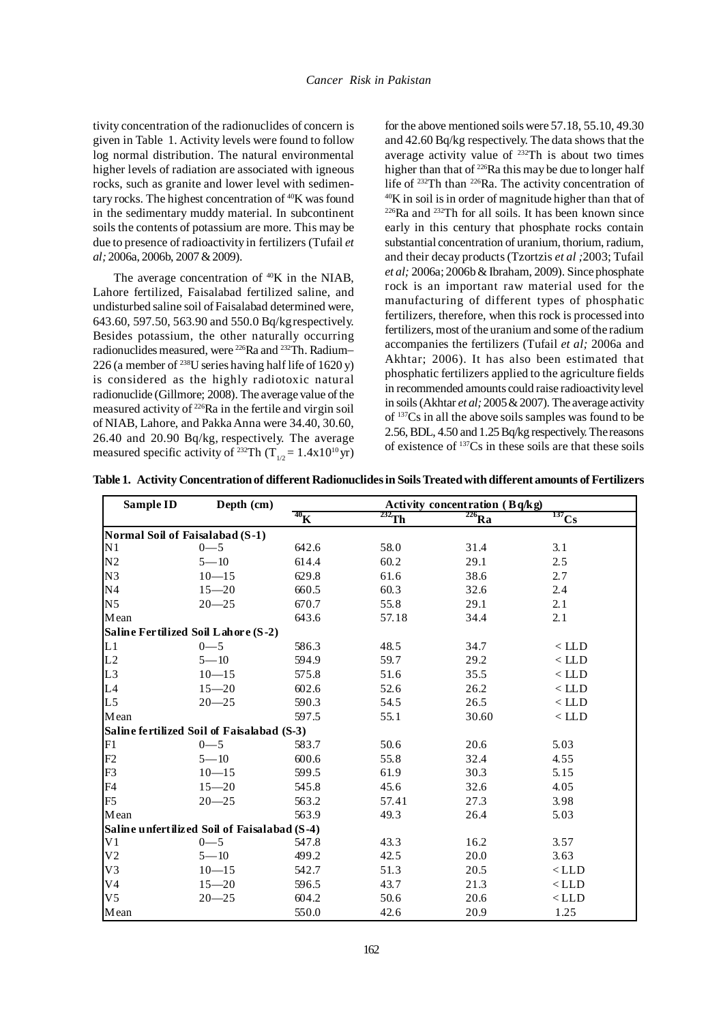tivity concentration of the radionuclides of concern is given in Table 1. Activity levels were found to follow log normal distribution. The natural environmental higher levels of radiation are associated with igneous rocks, such as granite and lower level with sedimentary rocks. The highest concentration of 40K was found in the sedimentary muddy material. In subcontinent soils the contents of potassium are more. This may be due to presence of radioactivity in fertilizers (Tufail *et al;* 2006a, 2006b, 2007 & 2009).

The average concentration of <sup>40</sup>K in the NIAB, Lahore fertilized, Faisalabad fertilized saline, and undisturbed saline soil of Faisalabad determined were, 643.60, 597.50, 563.90 and 550.0 Bq/kgrespectively. Besides potassium, the other naturally occurring radionuclides measured, were 226Ra and 232Th. Radium− 226 (a member of <sup>238</sup>U series having half life of  $1620y$ ) is considered as the highly radiotoxic natural radionuclide (Gillmore; 2008). The average value of the measured activity of 226Ra in the fertile and virgin soil of NIAB, Lahore, and Pakka Anna were 34.40, 30.60, 26.40 and 20.90 Bq/kg, respectively. The average measured specific activity of <sup>232</sup>Th (T<sub>1/2</sub> = 1.4x10<sup>10</sup> yr)

for the above mentioned soils were 57.18, 55.10, 49.30 and 42.60 Bq/kg respectively. The data shows that the average activity value of  $^{232}$ Th is about two times higher than that of <sup>226</sup>Ra this may be due to longer half life of 232Th than 226Ra. The activity concentration of  $40K$  in soil is in order of magnitude higher than that of  $226$ Ra and  $232$ Th for all soils. It has been known since early in this century that phosphate rocks contain substantial concentration of uranium, thorium, radium, and their decay products (Tzortzis *et al ;*2003; Tufail *et al;* 2006a; 2006b & Ibraham, 2009). Since phosphate rock is an important raw material used for the manufacturing of different types of phosphatic fertilizers, therefore, when this rock is processed into fertilizers, most of the uranium and some of the radium accompanies the fertilizers (Tufail *et al;* 2006a and Akhtar; 2006). It has also been estimated that phosphatic fertilizers applied to the agriculture fields in recommended amounts could raise radioactivity level in soils (Akhtar *et al;* 2005 & 2007). The average activity of 137Cs in all the above soils samples was found to be 2.56, BDL, 4.50 and 1.25 Bq/kg respectively. The reasons of existence of 137Cs in these soils are that these soils

**Table 1. Activity Concentration of different Radionuclides in Soils Treated with different amounts of Fertilizers**

| Sample ID                                    | Depth (cm)                                 | Activity concentration $(Bq/kg)$ |          |                       |                    |  |
|----------------------------------------------|--------------------------------------------|----------------------------------|----------|-----------------------|--------------------|--|
|                                              |                                            | $^{40}$ K                        | $232$ Th | $\overline{^{226}Ra}$ | $rac{137}{137}C_5$ |  |
| Normal Soil of Faisalabad (S-1)              |                                            |                                  |          |                       |                    |  |
| N <sub>1</sub>                               | $0 - 5$                                    | 642.6                            | 58.0     | 31.4                  | 3.1                |  |
| N <sub>2</sub>                               | $5 - 10$                                   | 614.4                            | 60.2     | 29.1                  | 2.5                |  |
| N <sub>3</sub>                               | $10 - 15$                                  | 629.8                            | 61.6     | 38.6                  | 2.7                |  |
| N <sub>4</sub>                               | $15 - 20$                                  | 660.5                            | 60.3     | 32.6                  | 2.4                |  |
| N <sub>5</sub>                               | $20 - 25$                                  | 670.7                            | 55.8     | 29.1                  | 2.1                |  |
| Mean                                         |                                            | 643.6                            | 57.18    | 34.4                  | 2.1                |  |
| Saline Fertilized Soil Lahore (S-2)          |                                            |                                  |          |                       |                    |  |
| L <sub>1</sub>                               | $0 - 5$                                    | 586.3                            | 48.5     | 34.7                  | $<$ LLD            |  |
| L2                                           | $5 - 10$                                   | 594.9                            | 59.7     | 29.2                  | $<$ LLD            |  |
| L <sub>3</sub>                               | $10 - 15$                                  | 575.8                            | 51.6     | 35.5                  | $<$ LLD            |  |
| L4                                           | $15 - 20$                                  | 602.6                            | 52.6     | 26.2                  | $<$ LLD            |  |
| L <sub>5</sub>                               | $20 - 25$                                  | 590.3                            | 54.5     | 26.5                  | $\langle$ LLD      |  |
| Mean                                         |                                            | 597.5                            | 55.1     | 30.60                 | $\langle$ LLD      |  |
|                                              | Saline fertilized Soil of Faisalabad (S-3) |                                  |          |                       |                    |  |
| F1                                           | $0 - 5$                                    | 583.7                            | 50.6     | 20.6                  | 5.03               |  |
| F2                                           | $5 - 10$                                   | 600.6                            | 55.8     | 32.4                  | 4.55               |  |
| F <sub>3</sub>                               | $10 - 15$                                  | 599.5                            | 61.9     | 30.3                  | 5.15               |  |
| F <sub>4</sub>                               | $15 - 20$                                  | 545.8                            | 45.6     | 32.6                  | 4.05               |  |
| F <sub>5</sub>                               | $20 - 25$                                  | 563.2                            | 57.41    | 27.3                  | 3.98               |  |
| Mean                                         |                                            | 563.9                            | 49.3     | 26.4                  | 5.03               |  |
| Saline unfertilized Soil of Faisalabad (S-4) |                                            |                                  |          |                       |                    |  |
| V <sub>1</sub>                               | $0 - 5$                                    | 547.8                            | 43.3     | 16.2                  | 3.57               |  |
| V <sub>2</sub>                               | $5 - 10$                                   | 499.2                            | 42.5     | 20.0                  | 3.63               |  |
| V <sub>3</sub>                               | $10 - 15$                                  | 542.7                            | 51.3     | 20.5                  | $<$ LLD            |  |
| V <sub>4</sub>                               | $15 - 20$                                  | 596.5                            | 43.7     | 21.3                  | $\langle$ LLD      |  |
| V <sub>5</sub>                               | $20 - 25$                                  | 604.2                            | 50.6     | 20.6                  | $\langle$ LLD      |  |
| Mean                                         |                                            | 550.0                            | 42.6     | 20.9                  | 1.25               |  |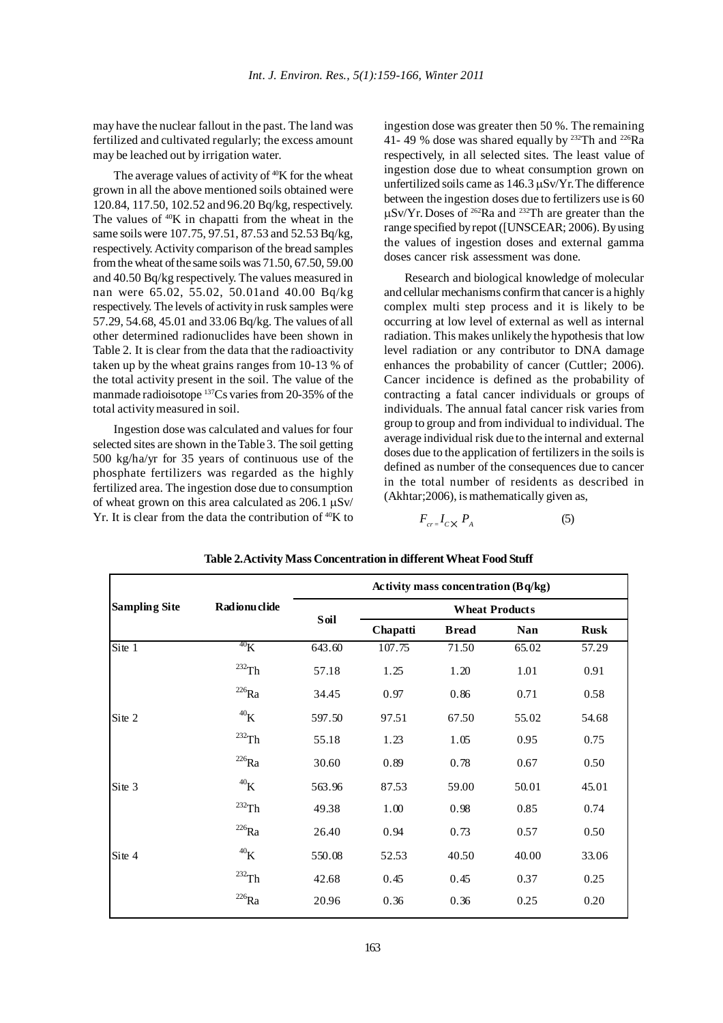may have the nuclear fallout in the past. The land was fertilized and cultivated regularly; the excess amount may be leached out by irrigation water.

The average values of activity of  $40K$  for the wheat grown in all the above mentioned soils obtained were 120.84, 117.50, 102.52 and 96.20 Bq/kg, respectively. The values of  $40K$  in chapatti from the wheat in the same soils were 107.75, 97.51, 87.53 and 52.53 Bq/kg, respectively. Activity comparison of the bread samples from the wheat of the same soils was 71.50, 67.50, 59.00 and 40.50 Bq/kg respectively. The values measured in nan were 65.02, 55.02, 50.01and 40.00 Bq/kg respectively. The levels of activity in rusk samples were 57.29, 54.68, 45.01 and 33.06 Bq/kg. The values of all other determined radionuclides have been shown in Table 2. It is clear from the data that the radioactivity taken up by the wheat grains ranges from 10-13 % of the total activity present in the soil. The value of the manmade radioisotope 137Cs varies from 20-35% of the total activity measured in soil.

Ingestion dose was calculated and values for four selected sites are shown in the Table 3. The soil getting 500 kg/ha/yr for 35 years of continuous use of the phosphate fertilizers was regarded as the highly fertilized area. The ingestion dose due to consumption of wheat grown on this area calculated as  $206.1 \mu\text{Sv}$ Yr. It is clear from the data the contribution of  $40K$  to ingestion dose was greater then 50 %. The remaining 41- 49 % dose was shared equally by  $232$ Th and  $226$ Ra respectively, in all selected sites. The least value of ingestion dose due to wheat consumption grown on unfertilized soils came as 146.3 µSv/Yr.The difference between the ingestion doses due to fertilizers use is 60  $\mu$ Sv/Yr. Doses of <sup>262</sup>Ra and <sup>232</sup>Th are greater than the range specified by repot ([UNSCEAR; 2006). By using the values of ingestion doses and external gamma doses cancer risk assessment was done.

Research and biological knowledge of molecular and cellular mechanisms confirm that cancer is a highly complex multi step process and it is likely to be occurring at low level of external as well as internal radiation. This makes unlikely the hypothesis that low level radiation or any contributor to DNA damage enhances the probability of cancer (Cuttler; 2006). Cancer incidence is defined as the probability of contracting a fatal cancer individuals or groups of individuals. The annual fatal cancer risk varies from group to group and from individual to individual. The average individual risk due to the internal and external doses due to the application of fertilizers in the soils is defined as number of the consequences due to cancer in the total number of residents as described in (Akhtar;2006), is mathematically given as,

$$
F_{cr} = I_{C} \times P_A \tag{5}
$$

|                      |                     |        | Activity mass concentration $(Bq/kg)$ |               |            |             |  |  |
|----------------------|---------------------|--------|---------------------------------------|---------------|------------|-------------|--|--|
| <b>Sampling Site</b> | Radionuclide        |        | <b>Wheat Products</b>                 |               |            |             |  |  |
|                      |                     | Soil   | Chapatti                              | <b>B</b> read | <b>Nan</b> | <b>Rusk</b> |  |  |
| Site 1               | $^{40}$ K           | 643.60 | 107.75                                | 71.50         | 65.02      | 57.29       |  |  |
|                      | $^{232}\mathrm{Th}$ | 57.18  | 1.25                                  | 1.20          | 1.01       | 0.91        |  |  |
|                      | $^{226}\mathrm{Ra}$ | 34.45  | 0.97                                  | 0.86          | 0.71       | 0.58        |  |  |
| Site 2               | $^{40}$ K           | 597.50 | 97.51                                 | 67.50         | 55.02      | 54.68       |  |  |
|                      | $^{232}\mathrm{Th}$ | 55.18  | 1.23                                  | 1.05          | 0.95       | 0.75        |  |  |
|                      | $^{226}\mathrm{Ra}$ | 30.60  | 0.89                                  | 0.78          | 0.67       | 0.50        |  |  |
| Site 3               | $^{40}$ K           | 563.96 | 87.53                                 | 59.00         | 50.01      | 45.01       |  |  |
|                      | $232$ Th            | 49.38  | 1.00                                  | 0.98          | 0.85       | 0.74        |  |  |
|                      | $^{226}\mathrm{Ra}$ | 26.40  | 0.94                                  | 0.73          | 0.57       | 0.50        |  |  |
| Site 4               | $^{40}$ K           | 550.08 | 52.53                                 | 40.50         | 40.00      | 33.06       |  |  |
|                      | $^{232}\!{\rm Th}$  | 42.68  | 0.45                                  | 0.45          | 0.37       | 0.25        |  |  |
|                      | $^{226}\mathrm{Ra}$ | 20.96  | 0.36                                  | 0.36          | 0.25       | 0.20        |  |  |

**Table 2.Activity Mass Concentration in different Wheat Food Stuff**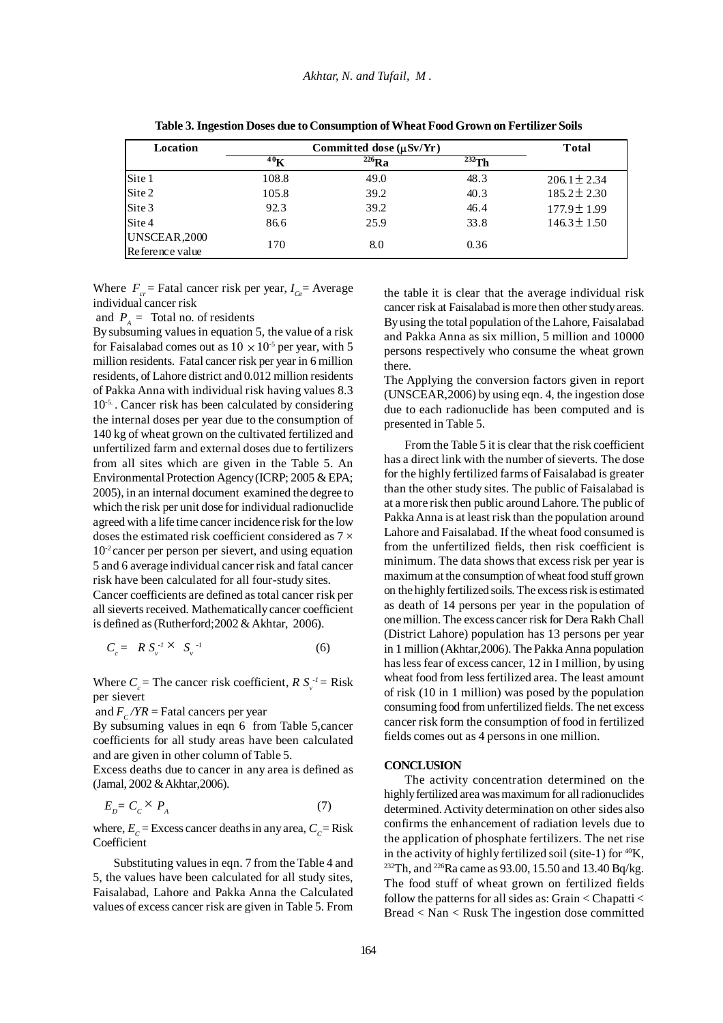| Location         | Committed dose $(\mu Sv/Yr)$ | Total      |             |                  |
|------------------|------------------------------|------------|-------------|------------------|
|                  | 40 <sub>K</sub>              | $^{226}Ra$ | $^{232}$ Th |                  |
|                  | 108.8                        | 49.0       | 48.3        | $206.1 \pm 2.34$ |
| Site 1<br>Site 2 | 105.8                        | 39.2       | 40.3        | $185.2 \pm 2.30$ |
| Site 3           | 92.3                         | 39.2       | 46.4        | 177.9±1.99       |
| Site 4           | 86.6                         | 25.9       | 33.8        | $146.3 \pm 1.50$ |
| UNSCEAR, 2000    |                              |            |             |                  |
| Reference value  | 170                          | 8.0        | 0.36        |                  |

**Table 3. Ingestion Doses due to Consumption of Wheat Food Grown on Fertilizer Soils**

Where  $F_{cr}$  = Fatal cancer risk per year,  $I_{cr}$  = Average individual cancer risk

and  $P_A$  = Total no. of residents

By subsuming values in equation 5, the value of a risk for Faisalabad comes out as  $10 \times 10^{-5}$  per year, with 5 million residents. Fatal cancer risk per year in 6 million residents, of Lahore district and 0.012 million residents of Pakka Anna with individual risk having values 8.3 10-5. . Cancer risk has been calculated by considering the internal doses per year due to the consumption of 140 kg of wheat grown on the cultivated fertilized and unfertilized farm and external doses due to fertilizers from all sites which are given in the Table 5. An Environmental Protection Agency (ICRP; 2005 & EPA; 2005), in an internal document examined the degree to which the risk per unit dose for individual radionuclide agreed with a life time cancer incidence risk for the low doses the estimated risk coefficient considered as 7 ×  $10<sup>2</sup>$  cancer per person per sievert, and using equation 5 and 6 average individual cancer risk and fatal cancer risk have been calculated for all four-study sites.

Cancer coefficients are defined as total cancer risk per all sieverts received. Mathematically cancer coefficient is defined as (Rutherford;2002 & Akhtar, 2006).

$$
C_c = R S_v^{-1} \times S_v^{-1}
$$
 (6)

Where  $C_c$  = The cancer risk coefficient,  $R S_v^{-1}$  = Risk per sievert

and  $F_c / YR$  = Fatal cancers per year

By subsuming values in eqn 6 from Table 5, cancer coefficients for all study areas have been calculated and are given in other column of Table 5.

Excess deaths due to cancer in any area is defined as (Jamal, 2002 & Akhtar,2006).

$$
E_D = C_C \times P_A \tag{7}
$$

where,  $E_c$  = Excess cancer deaths in any area,  $C_c$  = Risk **Coefficient** 

Substituting values in eqn. 7 from the Table 4 and 5, the values have been calculated for all study sites, Faisalabad, Lahore and Pakka Anna the Calculated values of excess cancer risk are given in Table 5. From the table it is clear that the average individual risk cancer risk at Faisalabad is more then other study areas. By using the total population of the Lahore, Faisalabad and Pakka Anna as six million, 5 million and 10000 persons respectively who consume the wheat grown there.

The Applying the conversion factors given in report (UNSCEAR,2006) by using eqn. 4, the ingestion dose due to each radionuclide has been computed and is presented in Table 5.

From the Table 5 it is clear that the risk coefficient has a direct link with the number of sieverts. The dose for the highly fertilized farms of Faisalabad is greater than the other study sites. The public of Faisalabad is at a more risk then public around Lahore. The public of Pakka Anna is at least risk than the population around Lahore and Faisalabad. If the wheat food consumed is from the unfertilized fields, then risk coefficient is minimum. The data shows that excess risk per year is maximum at the consumption of wheat food stuff grown on the highly fertilized soils. The excess risk is estimated as death of 14 persons per year in the population of one million. The excess cancer risk for Dera Rakh Chall (District Lahore) population has 13 persons per year in 1 million (Akhtar,2006). The Pakka Anna population has less fear of excess cancer, 12 in I million, by using wheat food from less fertilized area. The least amount of risk (10 in 1 million) was posed by the population consuming food from unfertilized fields. The net excess cancer risk form the consumption of food in fertilized fields comes out as 4 persons in one million.

#### **CONCLUSION**

The activity concentration determined on the highly fertilized area was maximum for all radionuclides determined. Activity determination on other sides also confirms the enhancement of radiation levels due to the application of phosphate fertilizers. The net rise in the activity of highly fertilized soil (site-1) for  ${}^{40}$ K, 232Th, and 226Ra came as 93.00, 15.50 and 13.40 Bq/kg. The food stuff of wheat grown on fertilized fields follow the patterns for all sides as: Grain < Chapatti < Bread < Nan < Rusk The ingestion dose committed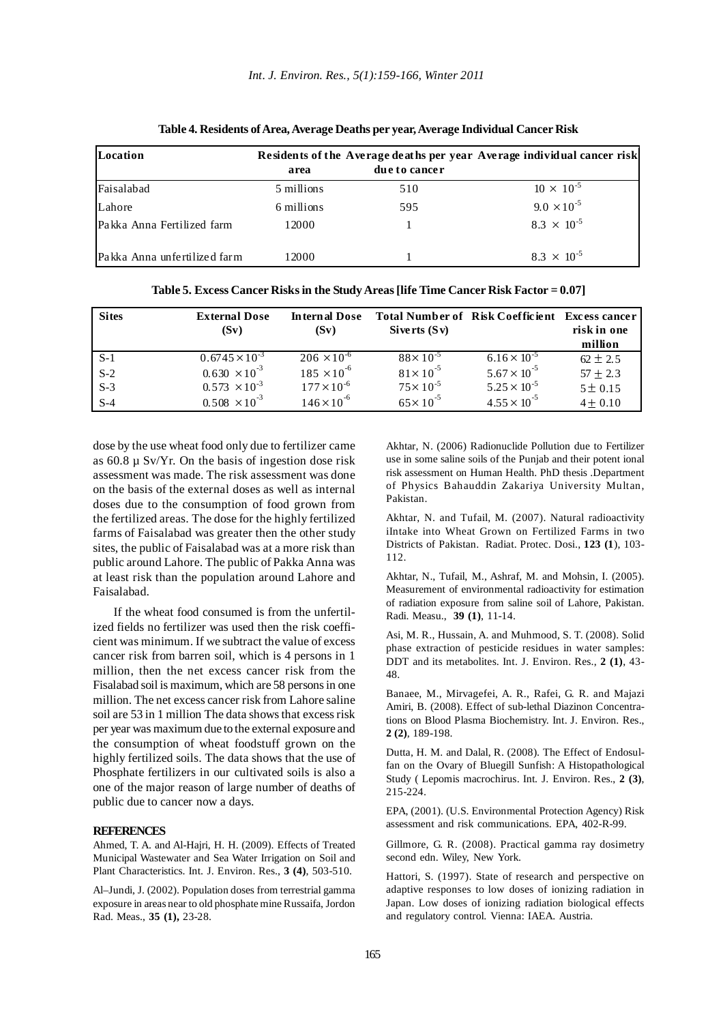| Location                     |            |               | Residents of the Average deaths per year Average individual cancer risk |  |  |
|------------------------------|------------|---------------|-------------------------------------------------------------------------|--|--|
|                              | area       | due to cancer |                                                                         |  |  |
| Faisalabad                   | 5 millions | 510           | $10 \times 10^{-5}$                                                     |  |  |
| Lahore                       | 6 millions | 595           | $9.0 \times 10^{-5}$                                                    |  |  |
| Pakka Anna Fertilized farm   | 12000      |               | $8.3 \times 10^{-5}$                                                    |  |  |
| Pakka Anna unfertilized farm | 12000      |               | $8.3 \times 10^{-5}$                                                    |  |  |

**Table 4. Residents of Area, Average Deaths per year, Average Individual Cancer Risk**

|  |  | Table 5. Excess Cancer Risks in the Study Areas [life Time Cancer Risk Factor = 0.07] |
|--|--|---------------------------------------------------------------------------------------|
|  |  |                                                                                       |

| <b>Sites</b> | <b>External Dose</b>    | <b>Internal Dose</b> | <b>Total Number of Risk Coefficient</b> |                       | Excess cancer |
|--------------|-------------------------|----------------------|-----------------------------------------|-----------------------|---------------|
|              | (Sv)                    | (Sv)                 | Siverts $(Sv)$                          |                       | risk in one   |
|              |                         |                      |                                         |                       | million       |
| $S-1$        | $0.6745 \times 10^{-3}$ | $206 \times 10^{-6}$ | $88 \times 10^{-5}$                     | $6.16 \times 10^{-5}$ | $62 \pm 2.5$  |
| $S-2$        | $0.630 \times 10^{-3}$  | $185 \times 10^{-6}$ | $81 \times 10^{-5}$                     | $5.67 \times 10^{-5}$ | $57 \pm 2.3$  |
| $S-3$        | $0.573 \times 10^{-3}$  | $177 \times 10^{-6}$ | $75 \times 10^{-5}$                     | $5.25 \times 10^{-5}$ | 5 ± 0.15      |
| $S-4$        | $0.508 \times 10^{-3}$  | $146 \times 10^{-6}$ | $65 \times 10^{-5}$                     | $4.55 \times 10^{-5}$ | $4 \pm 0.10$  |

dose by the use wheat food only due to fertilizer came as  $60.8 \mu$  Sv/Yr. On the basis of ingestion dose risk assessment was made. The risk assessment was done on the basis of the external doses as well as internal doses due to the consumption of food grown from the fertilized areas. The dose for the highly fertilized farms of Faisalabad was greater then the other study sites, the public of Faisalabad was at a more risk than public around Lahore. The public of Pakka Anna was at least risk than the population around Lahore and Faisalabad.

If the wheat food consumed is from the unfertilized fields no fertilizer was used then the risk coefficient was minimum. If we subtract the value of excess cancer risk from barren soil, which is 4 persons in 1 million, then the net excess cancer risk from the Fisalabad soil is maximum, which are 58 persons in one million. The net excess cancer risk from Lahore saline soil are 53 in 1 million The data shows that excess risk per year was maximum due to the external exposure and the consumption of wheat foodstuff grown on the highly fertilized soils. The data shows that the use of Phosphate fertilizers in our cultivated soils is also a one of the major reason of large number of deaths of public due to cancer now a days.

#### **REFERENCES**

Ahmed, T. A. and Al-Hajri, H. H. (2009). Effects of Treated Municipal Wastewater and Sea Water Irrigation on Soil and Plant Characteristics. Int. J. Environ. Res., **3 (4)**, 503-510.

Al–Jundi, J. (2002). Population doses from terrestrial gamma exposure in areas near to old phosphate mine Russaifa, Jordon Rad. Meas., **35 (1),** 23-28.

Akhtar, N. (2006) Radionuclide Pollution due to Fertilizer use in some saline soils of the Punjab and their potent ional risk assessment on Human Health. PhD thesis .Department of Physics Bahauddin Zakariya University Multan, Pakistan.

Akhtar, N. and Tufail, M. (2007). Natural radioactivity iIntake into Wheat Grown on Fertilized Farms in two Districts of Pakistan. Radiat. Protec. Dosi., **123 (1**), 103- 112.

Akhtar, N., Tufail, M., Ashraf, M. and Mohsin, I. (2005). Measurement of environmental radioactivity for estimation of radiation exposure from saline soil of Lahore, Pakistan. Radi. Measu., **39 (1)**, 11-14.

Asi, M. R., Hussain, A. and Muhmood, S. T. (2008). Solid phase extraction of pesticide residues in water samples: DDT and its metabolites. Int. J. Environ. Res., **2 (1)**, 43- 48.

Banaee, M., Mirvagefei, A. R., Rafei, G. R. and Majazi Amiri, B. (2008). Effect of sub-lethal Diazinon Concentrations on Blood Plasma Biochemistry. Int. J. Environ. Res., **2 (2)**, 189-198.

Dutta, H. M. and Dalal, R. (2008). The Effect of Endosulfan on the Ovary of Bluegill Sunfish: A Histopathological Study ( Lepomis macrochirus. Int. J. Environ. Res., **2 (3)**, 215-224.

EPA, (2001). (U.S. Environmental Protection Agency) Risk assessment and risk communications. EPA, 402-R-99.

Gillmore, G. R. (2008). Practical gamma ray dosimetry second edn. Wiley, New York.

Hattori, S. (1997). State of research and perspective on adaptive responses to low doses of ionizing radiation in Japan. Low doses of ionizing radiation biological effects and regulatory control. Vienna: IAEA. Austria.